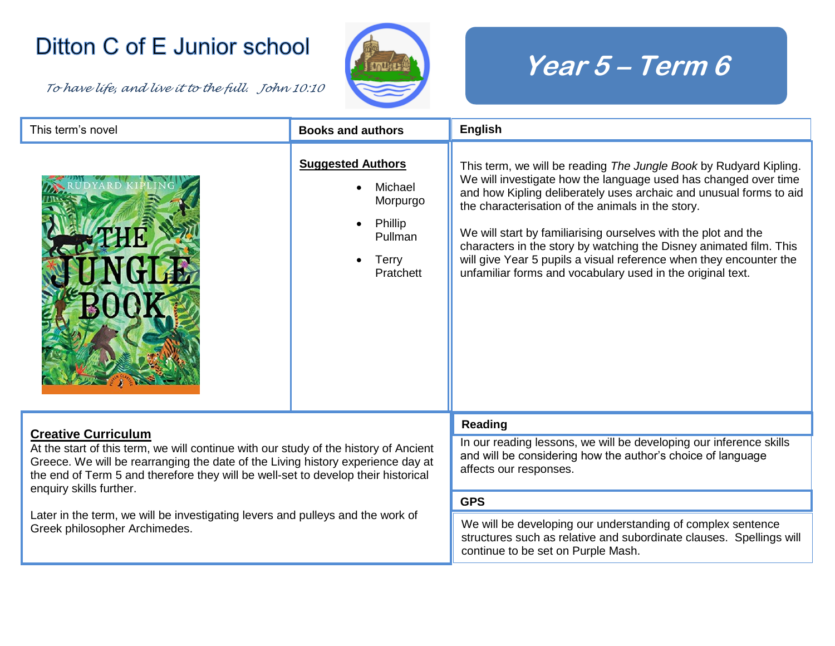## Ditton C of E Junior school

*To have life, and live it to the full. John 10:10* 



## **Year 5 – Term 6**

| This term's novel                                                                                                                                                                                                                                                                                                     | <b>Books and authors</b>                                                                           | <b>English</b>                                                                                                                                                                                                                                                                                                                                                                                                                                                                                                                              |
|-----------------------------------------------------------------------------------------------------------------------------------------------------------------------------------------------------------------------------------------------------------------------------------------------------------------------|----------------------------------------------------------------------------------------------------|---------------------------------------------------------------------------------------------------------------------------------------------------------------------------------------------------------------------------------------------------------------------------------------------------------------------------------------------------------------------------------------------------------------------------------------------------------------------------------------------------------------------------------------------|
|                                                                                                                                                                                                                                                                                                                       | <b>Suggested Authors</b><br>Michael<br>Morpurgo<br>Phillip<br>Pullman<br><b>Terry</b><br>Pratchett | This term, we will be reading The Jungle Book by Rudyard Kipling.<br>We will investigate how the language used has changed over time<br>and how Kipling deliberately uses archaic and unusual forms to aid<br>the characterisation of the animals in the story.<br>We will start by familiarising ourselves with the plot and the<br>characters in the story by watching the Disney animated film. This<br>will give Year 5 pupils a visual reference when they encounter the<br>unfamiliar forms and vocabulary used in the original text. |
| <b>Creative Curriculum</b><br>At the start of this term, we will continue with our study of the history of Ancient<br>Greece. We will be rearranging the date of the Living history experience day at<br>the end of Term 5 and therefore they will be well-set to develop their historical<br>enquiry skills further. |                                                                                                    | Reading                                                                                                                                                                                                                                                                                                                                                                                                                                                                                                                                     |
|                                                                                                                                                                                                                                                                                                                       |                                                                                                    | In our reading lessons, we will be developing our inference skills<br>and will be considering how the author's choice of language<br>affects our responses.                                                                                                                                                                                                                                                                                                                                                                                 |
| Later in the term, we will be investigating levers and pulleys and the work of<br>Greek philosopher Archimedes.                                                                                                                                                                                                       |                                                                                                    | <b>GPS</b>                                                                                                                                                                                                                                                                                                                                                                                                                                                                                                                                  |
|                                                                                                                                                                                                                                                                                                                       |                                                                                                    | We will be developing our understanding of complex sentence<br>structures such as relative and subordinate clauses. Spellings will<br>continue to be set on Purple Mash.                                                                                                                                                                                                                                                                                                                                                                    |